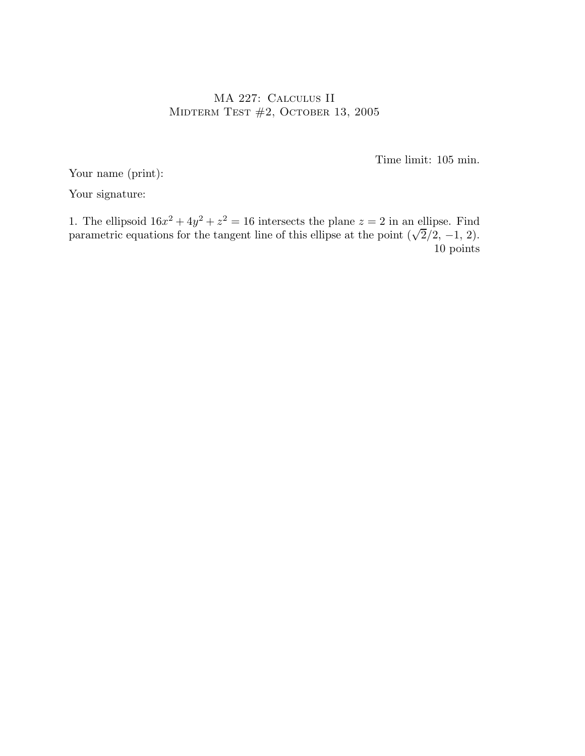## MA 227: Calculus II MIDTERM TEST  $#2$ , OCTOBER 13, 2005

Time limit: 105 min.

Your name (print):

Your signature:

1. The ellipsoid  $16x^2 + 4y^2 + z^2 = 16$  intersects the plane  $z = 2$  in an ellipse. Find parametric equations for the tangent line of this ellipse at the point  $(\sqrt{2}/2, -1, 2)$ . 10 points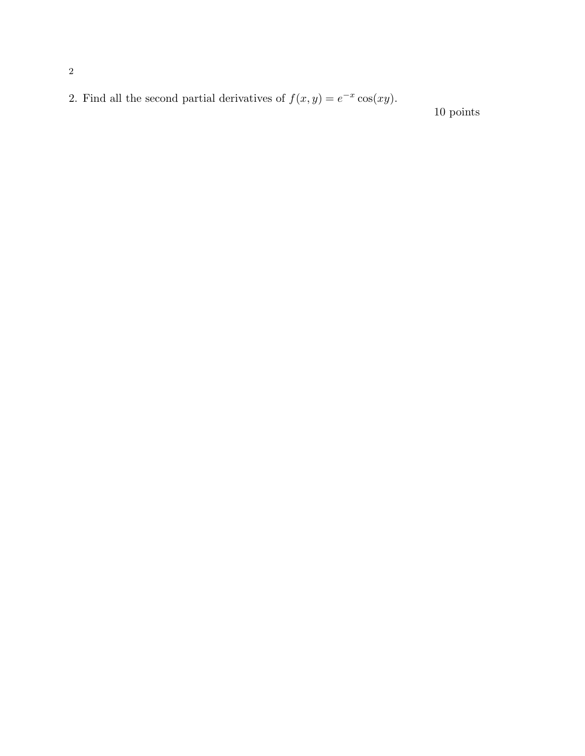2. Find all the second partial derivatives of  $f(x, y) = e^{-x} \cos(xy)$ .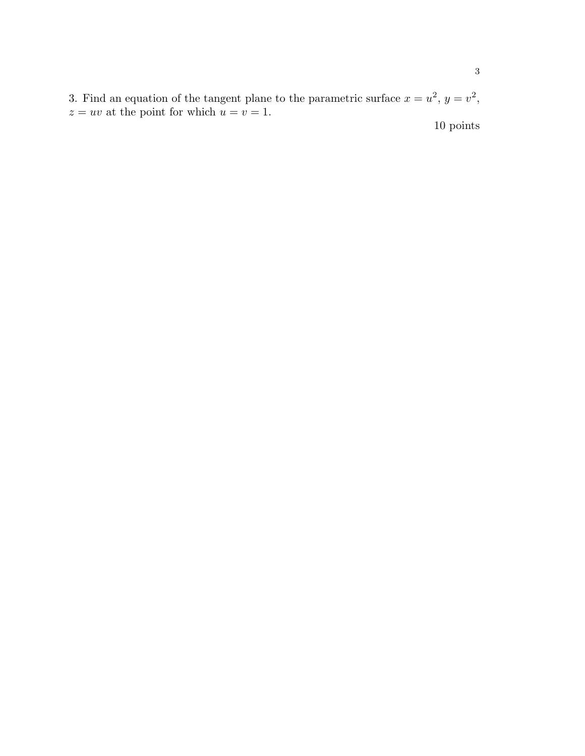3. Find an equation of the tangent plane to the parametric surface  $x = u^2$ ,  $y = v^2$ ,  $z = uv$  at the point for which  $u = v = 1$ .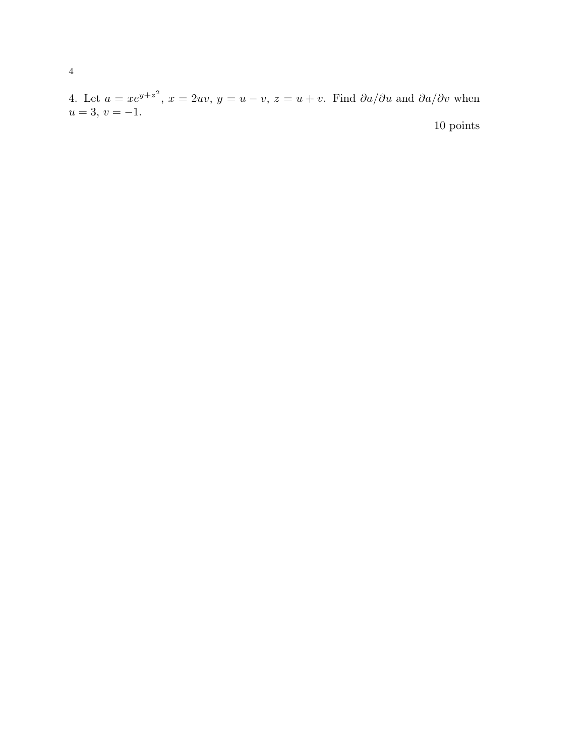4. Let  $a = xe^{y+z^2}$ ,  $x = 2uv$ ,  $y = u - v$ ,  $z = u + v$ . Find  $\partial a/\partial u$  and  $\partial a/\partial v$  when  $u = 3, v = -1.$ 10 points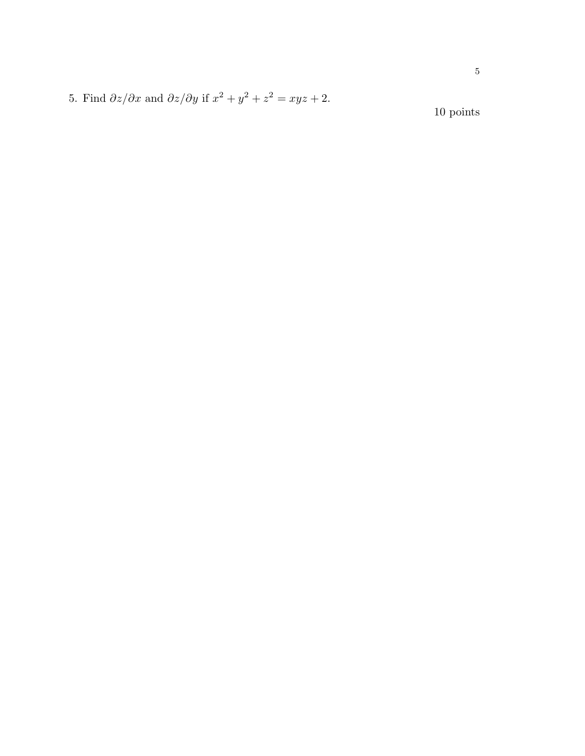5. Find  $\partial z/\partial x$  and  $\partial z/\partial y$  if  $x^2 + y^2 + z^2 = xyz + 2$ .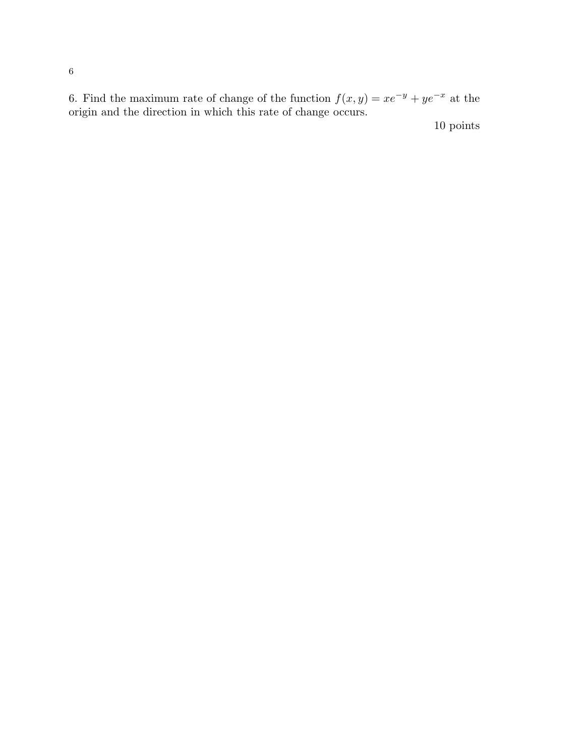6. Find the maximum rate of change of the function  $f(x, y) = xe^{-y} + ye^{-x}$  at the origin and the direction in which this rate of change occurs.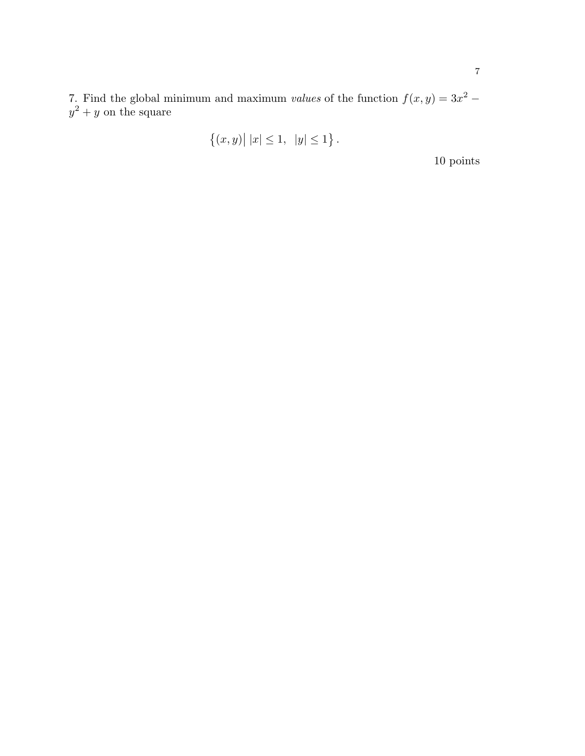7. Find the global minimum and maximum *values* of the function  $f(x, y) = 3x^2 - 3x^2$  $y^2 + y$  on the square

$$
\{(x,y) | |x| \le 1, |y| \le 1\}.
$$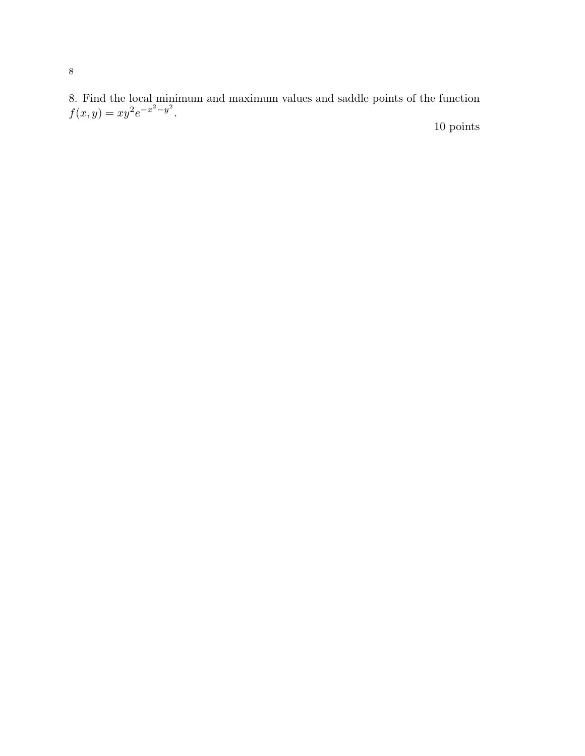8. Find the local minimum and maximum values and saddle points of the function  $f(x, y) = xy^2 e^{-x^2 - y^2}.$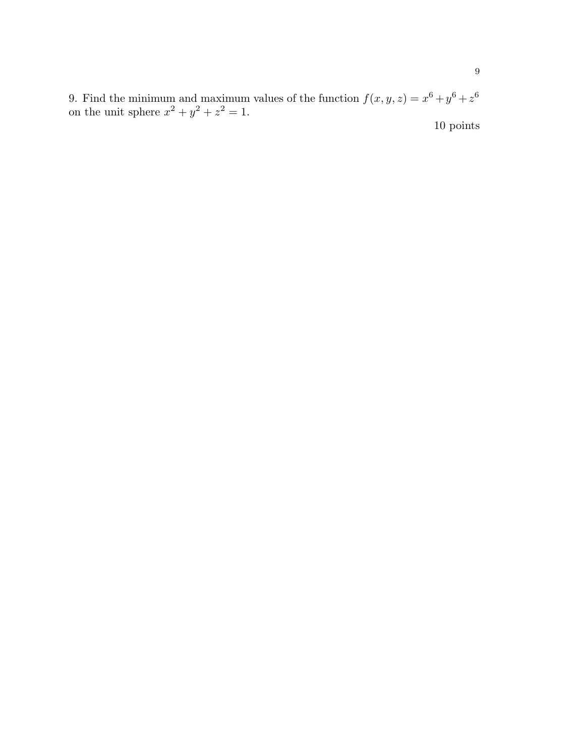9. Find the minimum and maximum values of the function  $f(x, y, z) = x^6 + y^6 + z^6$ on the unit sphere  $x^2 + y^2 + z^2 = 1$ .